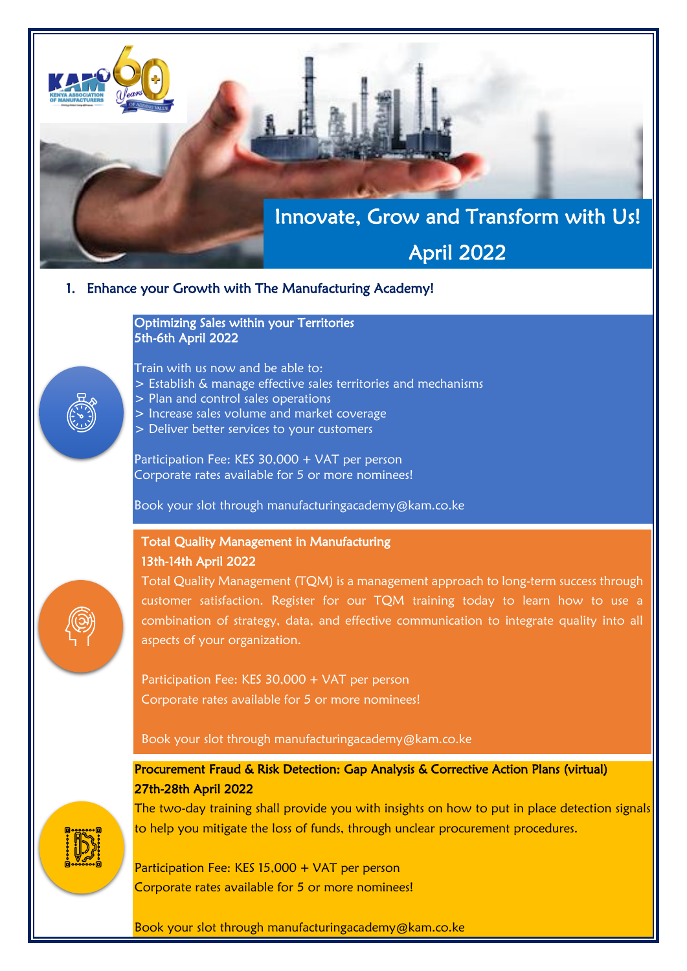# Innovate, Grow and Transform with Us!

## April 2022

#### 1. Enhance your Growth with The Manufacturing Academy!

Optimizing Sales within your Territories 5th-6th April 2022

Train with us now and be able to:

- > Establish & manage effective sales territories and mechanisms
- > Plan and control sales operations
- > Increase sales volume and market coverage
- > Deliver better services to your customers

Participation Fee: KES 30,000 + VAT per person Corporate rates available for 5 or more nominees!

Book your slot through manufacturingacademy@kam.co.ke

## Total Quality Management in Manufacturing 13th-14th April 2022

Total Quality Management (TQM) is a management approach to long-term success through customer satisfaction. Register for our TQM training today to learn how to use a combination of strategy, data, and effective communication to integrate quality into all aspects of your organization.

Participation Fee: KES 30,000 + VAT per person Corporate rates available for 5 or more nominees!

Book your slot through manufacturingacademy@kam.co.ke

### Procurement Fraud & Risk Detection: Gap Analysis & Corrective Action Plans (virtual) 27th-28th April 2022

The two-day training shall provide you with insights on how to put in place detection signals to help you mitigate the loss of funds, through unclear procurement procedures.

Participation Fee: KES 15,000 + VAT per person Corporate rates available for 5 or more nominees!

Book your slot through manufacturingacademy@kam.co.ke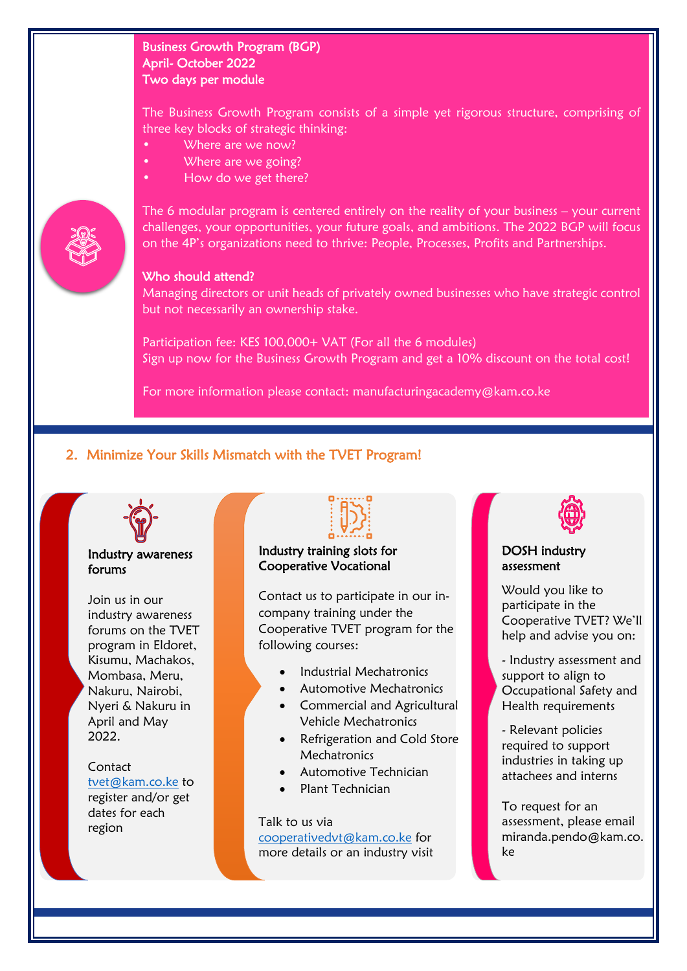### Business Growth Program (BGP) April- October 2022 Two days per module

The Business Growth Program consists of a simple yet rigorous structure, comprising of three key blocks of strategic thinking:

- Where are we now?
- Where are we going?
- How do we get there?



#### The 6 modular program is centered entirely on the reality of your business – your current challenges, your opportunities, your future goals, and ambitions. The 2022 BGP will focus on the 4P's organizations need to thrive: People, Processes, Profits and Partnerships.

#### Who should attend?

Managing directors or unit heads of privately owned businesses who have strategic control but not necessarily an ownership stake.

Participation fee: KES 100,000+ VAT (For all the 6 modules) Sign up now for the Business Growth Program and get a 10% discount on the total cost!

For more information please contact: manufacturingacademy@kam.co.ke

## 2. Minimize Your Skills Mismatch with the TVET Program!



#### Industry awareness forums

Join us in our industry awareness forums on the TVET program in Eldoret, Kisumu, Machakos, Mombasa, Meru, Nakuru, Nairobi, Nyeri & Nakuru in April and May 2022.

Contact [tvet@kam.co.ke](mailto:tvet@kam.co.ke) to register and/or get dates for each region



#### Industry training slots for Cooperative Vocational

Contact us to participate in our incompany training under the Cooperative TVET program for the following courses:

- Industrial Mechatronics
- Automotive Mechatronics
- Commercial and Agricultural Vehicle Mechatronics
- Refrigeration and Cold Store **Mechatronics**
- Automotive Technician
- Plant Technician

#### Talk to us via

[cooperativedvt@kam.co.ke](mailto:cooperativedvt@kam.co.ke) for more details or an industry visit



#### DOSH industry assessment

Would you like to participate in the Cooperative TVET? We'll help and advise you on:

- Industry assessment and support to align to Occupational Safety and Health requirements

- Relevant policies required to support industries in taking up attachees and interns

To request for an assessment, please email miranda.pendo@kam.co. ke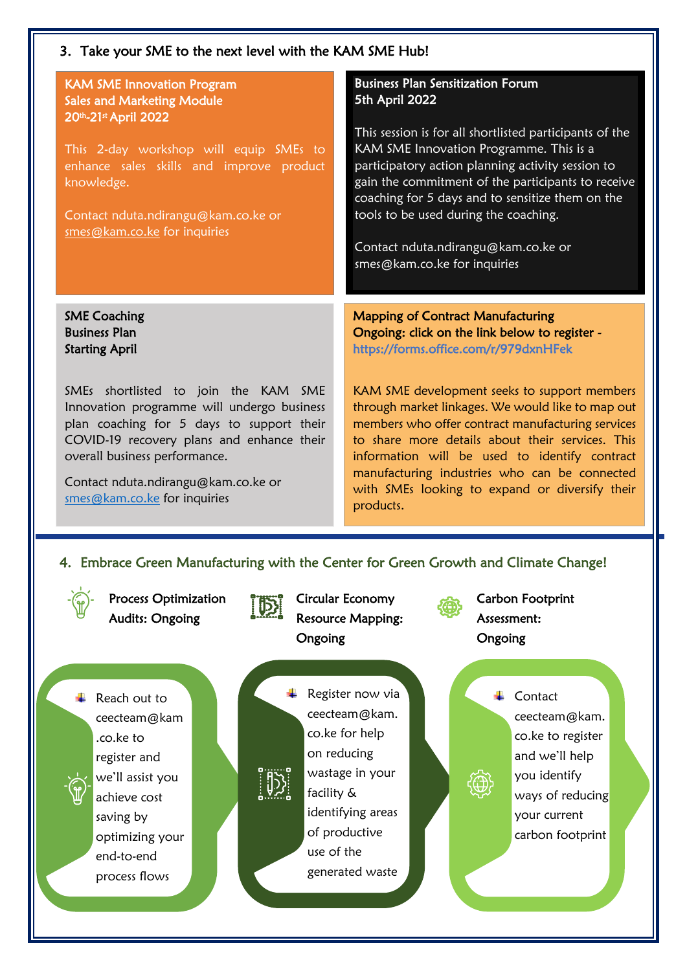### 3. Take your SME to the next level with the KAM SME Hub!

#### KAM SME Innovation Program Sales and Marketing Module 20th-21st April 2022

This 2-day workshop will equip SMEs to enhance sales skills and improve product knowledge.

Contact nduta.ndirangu@kam.co.ke or [smes@kam.co.ke](mailto:smes@kam.co.ke) for inquiries

#### SME Coaching Business Plan Starting April

SMEs shortlisted to join the KAM SME Innovation programme will undergo business plan coaching for 5 days to support their COVID-19 recovery plans and enhance their overall business performance.

Contact nduta.ndirangu@kam.co.ke or [smes@kam.co.ke](mailto:smes@kam.co.ke) for inquiries

## Business Plan Sensitization Forum 5th April 2022

This session is for all shortlisted participants of the KAM SME Innovation Programme. This is a participatory action planning activity session to gain the commitment of the participants to receive coaching for 5 days and to sensitize them on the tools to be used during the coaching.

Contact nduta.ndirangu@kam.co.ke or smes@kam.co.ke for inquiries

Mapping of Contract Manufacturing Ongoing: click on the link below to register https://forms.office.com/r/979dxnHFek

KAM SME development seeks to support members through market linkages. We would like to map out members who offer contract manufacturing services to share more details about their services. This information will be used to identify contract manufacturing industries who can be connected with SMEs looking to expand or diversify their products.

#### 4. Embrace Green Manufacturing with the Center for Green Growth and Climate Change!



Process Optimization Audits: Ongoing



Circular Economy Resource Mapping: Ongoing

**E** Reach out to ceecteam@kam .co.ke to register and we'll assist you achieve cost saving by optimizing your end-to-end process flows



ceecteam@kam. co.ke for help on reducing wastage in your facility & identifying areas of productive use of the generated waste

Carbon Footprint Assessment: Ongoing

#### **↓** Contact

ceecteam@kam. co.ke to register and we'll help you identify ways of reducing your current carbon footprint